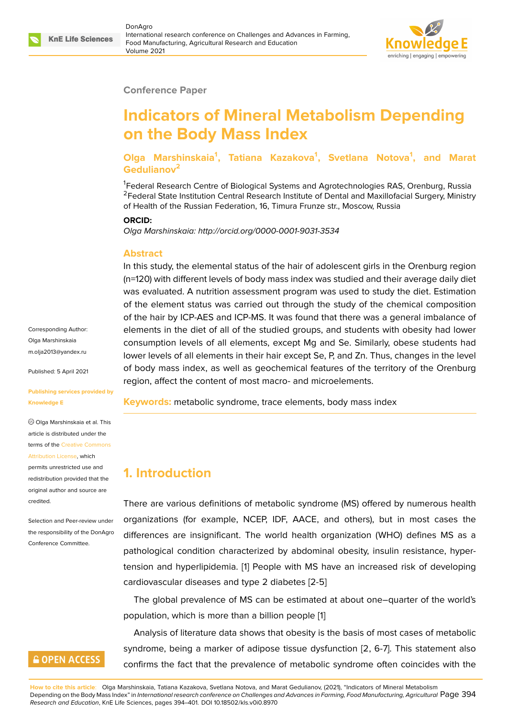#### **Conference Paper**

# **Indicators of Mineral Metabolism Depending on the Body Mass Index**

**Olga Marshinskaia<sup>1</sup> , Tatiana Kazakova<sup>1</sup> , Svetlana Notova<sup>1</sup> , and Marat Gedulianov<sup>2</sup>**

<sup>1</sup>Federal Research Centre of Biological Systems and Agrotechnologies RAS, Orenburg, Russia <sup>2</sup>Federal State Institution Central Research Institute of Dental and Maxillofacial Surgery, Ministry of Health of the Russian Federation, 16, Timura Frunze str., Moscow, Russia

#### **ORCID:**

*Olga Marshinskaia: http://orcid.org/0000-0001-9031-3534*

#### **Abstract**

In this study, the elemental status of the hair of adolescent girls in the Orenburg region (n=120) with different levels of body mass index was studied and their average daily diet was evaluated. A nutrition assessment program was used to study the diet. Estimation of the element status was carried out through the study of the chemical composition of the hair by ICP-AES and ICP-MS. It was found that there was a general imbalance of elements in the diet of all of the studied groups, and students with obesity had lower consumption levels of all elements, except Mg and Se. Similarly, obese students had lower levels of all elements in their hair except Se, P, and Zn. Thus, changes in the level of body mass index, as well as geochemical features of the territory of the Orenburg region, affect the content of most macro- and microelements.

**Keywords:** metabolic syndrome, trace elements, body mass index

### **1. Introduction**

There are various definitions of metabolic syndrome (MS) offered by numerous health organizations (for example, NCEP, IDF, AACE, and others), but in most cases the differences are insignificant. The world health organization (WHO) defines MS as a pathological condition characterized by abdominal obesity, insulin resistance, hypertension and hyperlipidemia. [1] People with MS have an increased risk of developing cardiovascular diseases and type 2 diabetes [2-5]

The global prevalence of MS can be estimated at about one–quarter of the world's population, which is more th[an](#page-5-0) a billion people [1]

Analysis of literature data shows that obesity is the basis of most cases of metabolic syndrome, being a marker of adipose tissue dysfunction [2, 6-7]. This statement also confirms the fact that the prevalence of metab[ol](#page-5-0)ic syndrome often coincides with the

Corresponding Author: Olga Marshinskaia m.olja2013@yandex.ru

Published: 5 April 2021

#### **[Publishing services pr](mailto:m.olja2013@yandex.ru)ovided by Knowledge E**

Olga Marshinskaia et al. This article is distributed under the terms of the Creative Commons Attribution License, which

permits unrestricted use and redistribution provided that the original auth[or and source are](https://creativecommons.org/licenses/by/4.0/) [credited.](https://creativecommons.org/licenses/by/4.0/)

Selection and Peer-review under the responsibility of the DonAgro Conference Committee.

### **GOPEN ACCESS**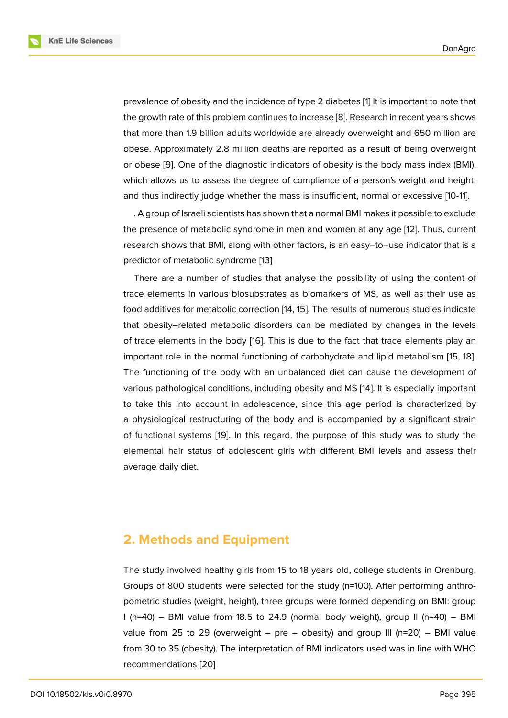prevalence of obesity and the incidence of type 2 diabetes [1] It is important to note that the growth rate of this problem continues to increase [8]. Research in recent years shows that more than 1.9 billion adults worldwide are already overweight and 650 million are obese. Approximately 2.8 million deaths are reported as a [r](#page-5-0)esult of being overweight or obese [9]. One of the diagnostic indicators of ob[esi](#page-5-1)ty is the body mass index (BMI), which allows us to assess the degree of compliance of a person's weight and height, and thus indirectly judge whether the mass is insufficient, normal or excessive [10-11].

. A grou[p](#page-5-2) of Israeli scientists has shown that a normal BMI makes it possible to exclude the presence of metabolic syndrome in men and women at any age [12]. Thus, current research shows that BMI, along with other factors, is an easy–to–use indicator that is a predictor of metabolic syndrome [13]

There are a number of studies that analyse the possibility of usi[ng](#page-6-0) the content of trace elements in various biosubstrates as biomarkers of MS, as well as their use as food additives for metabolic corre[ctio](#page-6-1)n [14, 15]. The results of numerous studies indicate that obesity–related metabolic disorders can be mediated by changes in the levels of trace elements in the body [16]. This is due to the fact that trace elements play an important role in the normal functionin[g o](#page-6-2)[f c](#page-6-3)arbohydrate and lipid metabolism [15, 18]. The functioning of the body with an unbalanced diet can cause the development of various pathological conditions, [in](#page-6-4)cluding obesity and MS [14]. It is especially important to take this into account in adolescence, since this age period is characteri[zed](#page-6-3) [by](#page-6-5) a physiological restructuring of the body and is accompanied by a significant strain of functional systems [19]. In this regard, the purpose of [thi](#page-6-2)s study was to study the elemental hair status of adolescent girls with different BMI levels and assess their average daily diet.

### **2. Methods and Equipment**

The study involved healthy girls from 15 to 18 years old, college students in Orenburg. Groups of 800 students were selected for the study (n=100). After performing anthropometric studies (weight, height), three groups were formed depending on BMI: group I (n=40) – BMI value from 18.5 to 24.9 (normal body weight), group II (n=40) – BMI value from 25 to 29 (overweight  $-$  pre  $-$  obesity) and group III (n=20)  $-$  BMI value from 30 to 35 (obesity). The interpretation of BMI indicators used was in line with WHO recommendations [20]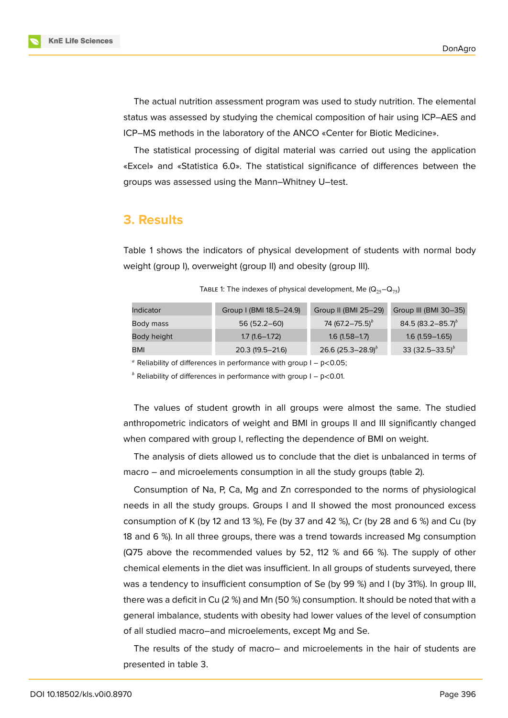The actual nutrition assessment program was used to study nutrition. The elemental status was assessed by studying the chemical composition of hair using ICP–AES and ICP–MS methods in the laboratory of the ANCO «Center for Biotic Medicine».

The statistical processing of digital material was carried out using the application «Excel» and «Statistica 6.0». The statistical significance of differences between the groups was assessed using the Mann–Whitney U–test.

### **3. Results**

Table 1 shows the indicators of physical development of students with normal body weight (group I), overweight (group II) and obesity (group III).

| Indicator   | Group I (BMI 18.5-24.9) | Group II (BMI 25-29)   | Group III (BMI 30-35)         |
|-------------|-------------------------|------------------------|-------------------------------|
| Body mass   | $56(52.2 - 60)$         | 74 $(67.2 - 75.5)^{b}$ | 84.5 (83.2–85.7) <sup>b</sup> |
| Body height | $1.7(1.6 - 1.72)$       | $1.6(1.58 - 1.7)$      | $1.6(1.59 - 1.65)$            |
| BMI         | $20.3(19.5 - 21.6)$     | 26.6 $(25.3 - 28.9)^b$ | 33 $(32.5 - 33.5)^{b}$        |

TABLE 1: The indexes of physical development, Me  $(Q_{25}-Q_{75})$ 

<sup>a</sup> Reliability of differences in performance with group  $I - p < 0.05$ ;

 $<sup>b</sup>$  Reliability of differences in performance with group I – p<0.01.</sup>

The values of student growth in all groups were almost the same. The studied anthropometric indicators of weight and BMI in groups II and III significantly changed when compared with group I, reflecting the dependence of BMI on weight.

The analysis of diets allowed us to conclude that the diet is unbalanced in terms of macro – and microelements consumption in all the study groups (table 2).

Consumption of Na, P, Ca, Mg and Zn corresponded to the norms of physiological needs in all the study groups. Groups I and II showed the most pronounced excess consumption of K (by 12 and 13 %), Fe (by 37 and 42 %), Cr (by 28 and 6 %) and Cu (by 18 and 6 %). In all three groups, there was a trend towards increased Mg consumption (Q75 above the recommended values by 52, 112 % and 66 %). The supply of other chemical elements in the diet was insufficient. In all groups of students surveyed, there was a tendency to insufficient consumption of Se (by 99 %) and I (by 31%). In group III, there was a deficit in Cu (2 %) and Mn (50 %) consumption. It should be noted that with a general imbalance, students with obesity had lower values of the level of consumption of all studied macro–and microelements, except Mg and Se.

The results of the study of macro– and microelements in the hair of students are presented in table 3.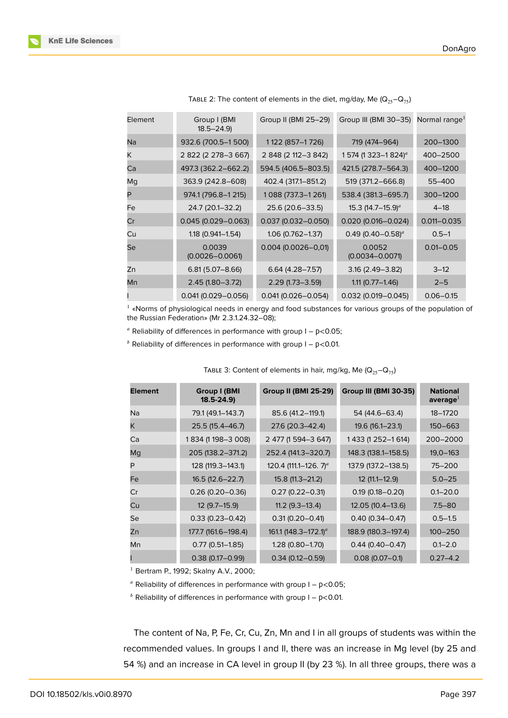| Element | Group I (BMI<br>$18.5 - 24.9$ | Group II (BMI 25-29)   | Group III (BMI 30-35) Normal range <sup>1</sup> |                 |
|---------|-------------------------------|------------------------|-------------------------------------------------|-----------------|
| Na      | 932.6 (700.5-1 500)           | 1122 (857-1726)        | 719 (474-964)                                   | 200-1300        |
| Κ       | 2 822 (2 278-3 667)           | 2 848 (2 112-3 842)    | 1 574 (1 323-1 824) <sup>a</sup>                | 400-2500        |
| Ca      | 497.3 (362.2-662.2)           | 594.5 (406.5-803.5)    | 421.5 (278.7-564.3)                             | 400-1200        |
| Mg      | 363.9 (242.8-608)             | 402.4 (317.1-851.2)    | 519 (371.2-666.8)                               | 55-400          |
| P       | 974.1 (796.8-1 215)           | 1088 (737.3-1261)      | 538.4 (381.3-695.7)                             | 300-1200        |
| Fe      | 24.7 (20.1-32.2)              | 25.6 (20.6-33.5)       | 15.3 $(14.7-15.9)^a$                            | $4 - 18$        |
| Cr      | $0.045(0.029 - 0.063)$        | $0.037(0.032 - 0.050)$ | $0.020(0.016 - 0.024)$                          | $0.011 - 0.035$ |
| Cu      | 1.18 (0.941-1.54)             | 1.06 (0.762-1.37)      | 0.49 (0.40-0.58) <sup>a</sup>                   | $0.5 - 1$       |
| Se      | 0.0039<br>$(0.0026 - 0.0061)$ | $0.004$ (0.0026-0,01)  | 0.0052<br>$(0.0034 - 0.0071)$                   | $0.01 - 0.05$   |
| Zn      | $6.81(5.07 - 8.66)$           | $6.64(4.28 - 7.57)$    | $3.16(2.49 - 3.82)$                             | $3 - 12$        |
| Mn      | $2.45(1.80 - 3.72)$           | $2.29(1.73 - 3.59)$    | $1.11(0.77 - 1.46)$                             | $2 - 5$         |
|         | $0.041(0.029 - 0.056)$        | $0.041(0.026 - 0.054)$ | $0.032$ (0.019 - 0.045)                         | $0.06 - 0.15$   |

TABLE 2: The content of elements in the diet, mg/day, Me  $(Q_{25}-Q_{75})$ 

1 «Norms of physiological needs in energy and food substances for various groups of the population of the Russian Federation» (Mr 2.3.1.24.32–08);

<sup>a</sup> Reliability of differences in performance with group  $I - p < 0.05$ ;

 $<sup>b</sup>$  Reliability of differences in performance with group I – p<0.01.</sup>

| <b>Element</b> | <b>Group I (BMI</b><br>$18.5 - 24.9$ | <b>Group II (BMI 25-29)</b>      | Group III (BMI 30-35) | <b>National</b><br>average <sup>1</sup> |
|----------------|--------------------------------------|----------------------------------|-----------------------|-----------------------------------------|
| Na             | 79.1 (49.1-143.7)                    | 85.6 (41.2-119.1)                | 54 (44.6–63.4)        | 18-1720                                 |
| K              | 25.5 (15.4–46.7)                     | 27.6 (20.3-42.4)                 | 19.6 (16.1-23.1)      | $150 - 663$                             |
| Ca             | 1834 (1198-3008)                     | 2 477 (1 594 - 3 647)            | 1 433 (1 252-1 614)   | 200-2000                                |
| Mg             | 205 (138.2-371.2)                    | 252.4 (141.3-320.7)              | 148.3 (138.1–158.5)   | $19,0 - 163$                            |
| P              | 128 (119.3-143.1)                    | 120.4 (111.1–126. $7)^a$         | 137.9 (137.2-138.5)   | 75-200                                  |
| Fe             | $16.5(12.6 - 22.7)$                  | $15.8(11.3 - 21.2)$              | $12(11.1 - 12.9)$     | $5.0 - 25$                              |
| Cr             | $0.26(0.20 - 0.36)$                  | $0.27(0.22 - 0.31)$              | $0.19(0.18 - 0.20)$   | $0.1 - 20.0$                            |
| Cu             | $12(9.7-15.9)$                       | $11.2$ (9.3-13.4)                | 12.05 (10.4-13.6)     | $7.5 - 80$                              |
| Se             | $0.33(0.23 - 0.42)$                  | $0.31(0.20 - 0.41)$              | $0.40(0.34 - 0.47)$   | $0.5 - 1.5$                             |
| Zn             | 177.7 (161.6–198.4)                  | 161.1 (148.3-172.1) <sup>a</sup> | 188.9 (180.3-197.4)   | $100 - 250$                             |
| Mn             | $0.77(0.51 - 1.85)$                  | $1.28(0.80 - 1.70)$              | $0.44(0.40 - 0.47)$   | $0.1 - 2.0$                             |
|                | $0.38(0.17 - 0.99)$                  | $0.34(0.12 - 0.59)$              | $0.08(0.07 - 0.1)$    | $0.27 - 4.2$                            |

TABLE 3: Content of elements in hair, mg/kg, Me ( $Q_{25}-Q_{75}$ )

<sup>1</sup> Bertram P., 1992; Skalny A.V., 2000;

<sup>a</sup> Reliability of differences in performance with group  $I - p < 0.05$ ;

 $<sup>b</sup>$  Reliability of differences in performance with group I – p<0.01.</sup>

The content of Na, P, Fe, Cr, Cu, Zn, Mn and I in all groups of students was within the recommended values. In groups I and II, there was an increase in Mg level (by 25 and 54 %) and an increase in CA level in group II (by 23 %). In all three groups, there was a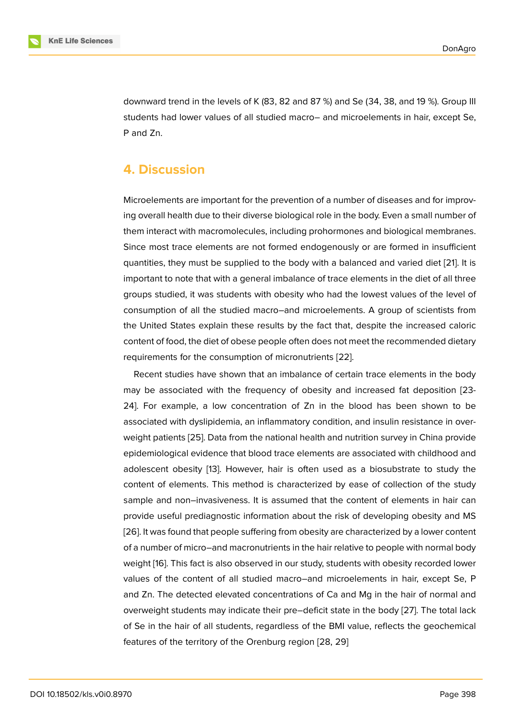downward trend in the levels of K (83, 82 and 87 %) and Se (34, 38, and 19 %). Group III students had lower values of all studied macro– and microelements in hair, except Se, P and Zn.

#### **4. Discussion**

Microelements are important for the prevention of a number of diseases and for improving overall health due to their diverse biological role in the body. Even a small number of them interact with macromolecules, including prohormones and biological membranes. Since most trace elements are not formed endogenously or are formed in insufficient quantities, they must be supplied to the body with a balanced and varied diet [21]. It is important to note that with a general imbalance of trace elements in the diet of all three groups studied, it was students with obesity who had the lowest values of the level of consumption of all the studied macro–and microelements. A group of scienti[sts](#page-6-6) from the United States explain these results by the fact that, despite the increased caloric content of food, the diet of obese people often does not meet the recommended dietary requirements for the consumption of micronutrients [22].

Recent studies have shown that an imbalance of certain trace elements in the body may be associated with the frequency of obesity and increased fat deposition [23- 24]. For example, a low concentration of Zn in t[he b](#page-6-7)lood has been shown to be associated with dyslipidemia, an inflammatory condition, and insulin resistance in overweight patients [25]. Data from the national health and nutrition survey in China provide epidemiological evidence that blood trace elements are associated with childhood and adolescent obesity [13]. However, hair is often used as a biosubstrate to study the content of elem[ent](#page-7-0)s. This method is characterized by ease of collection of the study sample and non–invasiveness. It is assumed that the content of elements in hair can provide useful predi[agn](#page-6-1)ostic information about the risk of developing obesity and MS [26]. It was found that people suffering from obesity are characterized by a lower content of a number of micro–and macronutrients in the hair relative to people with normal body weight [16]. This fact is also observed in our study, students with obesity recorded lower [valu](#page-7-1)es of the content of all studied macro–and microelements in hair, except Se, P and Zn. The detected elevated concentrations of Ca and Mg in the hair of normal and overwe[igh](#page-6-4)t students may indicate their pre–deficit state in the body [27]. The total lack of Se in the hair of all students, regardless of the BMI value, reflects the geochemical features of the territory of the Orenburg region [28, 29]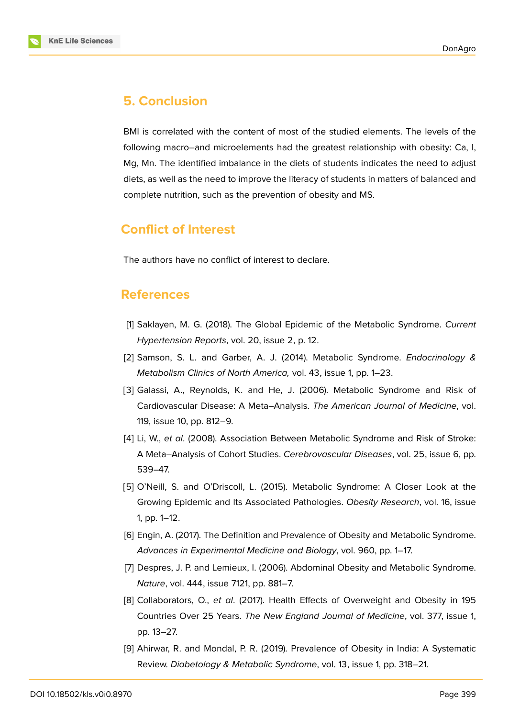



BMI is correlated with the content of most of the studied elements. The levels of the following macro–and microelements had the greatest relationship with obesity: Ca, I, Mg, Mn. The identified imbalance in the diets of students indicates the need to adjust diets, as well as the need to improve the literacy of students in matters of balanced and complete nutrition, such as the prevention of obesity and MS.

# **Conflict of Interest**

The authors have no conflict of interest to declare.

## **References**

- <span id="page-5-0"></span>[1] Saklayen, M. G. (2018). The Global Epidemic of the Metabolic Syndrome. *Current Hypertension Reports*, vol. 20, issue 2, p. 12.
- [2] Samson, S. L. and Garber, A. J. (2014). Metabolic Syndrome. *Endocrinology & Metabolism Clinics of North America,* vol. 43, issue 1, pp. 1–23.
- [3] Galassi, A., Reynolds, K. and He, J. (2006). Metabolic Syndrome and Risk of Cardiovascular Disease: A Meta–Analysis. *The American Journal of Medicine*, vol. 119, issue 10, pp. 812–9.
- [4] Li, W., *et al*. (2008). Association Between Metabolic Syndrome and Risk of Stroke: A Meta–Analysis of Cohort Studies. *Cerebrovascular Diseases*, vol. 25, issue 6, pp. 539–47.
- [5] O'Neill, S. and O'Driscoll, L. (2015). Metabolic Syndrome: A Closer Look at the Growing Epidemic and Its Associated Pathologies. *Obesity Research*, vol. 16, issue 1, pp. 1–12.
- [6] Engin, A. (2017). The Definition and Prevalence of Obesity and Metabolic Syndrome. *Advances in Experimental Medicine and Biology*, vol. 960, pp. 1–17.
- [7] Despres, J. P. and Lemieux, I. (2006). Abdominal Obesity and Metabolic Syndrome. *Nature*, vol. 444, issue 7121, pp. 881–7.
- <span id="page-5-1"></span>[8] Collaborators, O., *et al*. (2017). Health Effects of Overweight and Obesity in 195 Countries Over 25 Years. *The New England Journal of Medicine*, vol. 377, issue 1, pp. 13–27.
- <span id="page-5-2"></span>[9] Ahirwar, R. and Mondal, P. R. (2019). Prevalence of Obesity in India: A Systematic Review. *Diabetology & Metabolic Syndrome*, vol. 13, issue 1, pp. 318–21.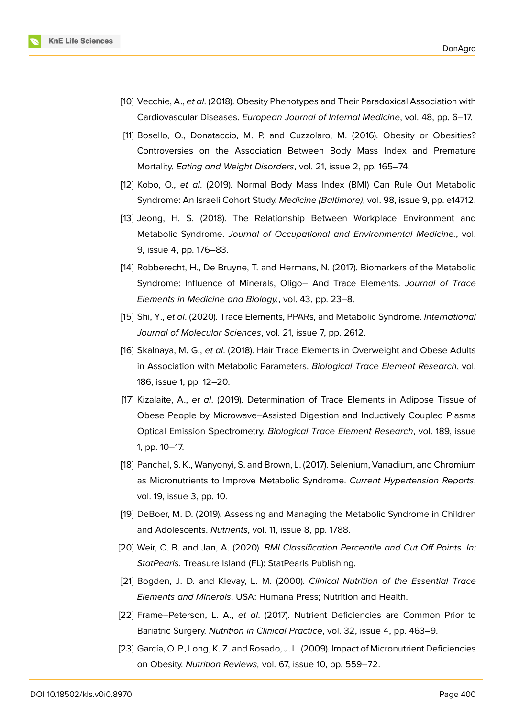

- [10] Vecchie, A., *et al*. (2018). Obesity Phenotypes and Their Paradoxical Association with Cardiovascular Diseases. *European Journal of Internal Medicine*, vol. 48, pp. 6–17.
- [11] Bosello, O., Donataccio, M. P. and Cuzzolaro, M. (2016). Obesity or Obesities? Controversies on the Association Between Body Mass Index and Premature Mortality. *Eating and Weight Disorders*, vol. 21, issue 2, pp. 165–74.
- <span id="page-6-0"></span>[12] Kobo, O., *et al*. (2019). Normal Body Mass Index (BMI) Can Rule Out Metabolic Syndrome: An Israeli Cohort Study. *Medicine (Baltimore)*, vol. 98, issue 9, pp. e14712.
- <span id="page-6-1"></span>[13] Jeong, H. S. (2018). The Relationship Between Workplace Environment and Metabolic Syndrome. *Journal of Occupational and Environmental Medicine.*, vol. 9, issue 4, pp. 176–83.
- <span id="page-6-2"></span>[14] Robberecht, H., De Bruyne, T. and Hermans, N. (2017). Biomarkers of the Metabolic Syndrome: Influence of Minerals, Oligo– And Trace Elements. *Journal of Trace Elements in Medicine and Biology.*, vol. 43, pp. 23–8.
- <span id="page-6-3"></span>[15] Shi, Y., *et al*. (2020). Trace Elements, PPARs, and Metabolic Syndrome. *International Journal of Molecular Sciences*, vol. 21, issue 7, pp. 2612.
- <span id="page-6-4"></span>[16] Skalnaya, M. G., *et al*. (2018). Hair Trace Elements in Overweight and Obese Adults in Association with Metabolic Parameters. *Biological Trace Element Research*, vol. 186, issue 1, pp. 12–20.
- [17] Kizalaite, A., *et al*. (2019). Determination of Trace Elements in Adipose Tissue of Obese People by Microwave–Assisted Digestion and Inductively Coupled Plasma Optical Emission Spectrometry. *Biological Trace Element Research*, vol. 189, issue 1, pp. 10–17.
- <span id="page-6-5"></span>[18] Panchal, S. K., Wanyonyi, S. and Brown, L. (2017). Selenium, Vanadium, and Chromium as Micronutrients to Improve Metabolic Syndrome. *Current Hypertension Reports*, vol. 19, issue 3, pp. 10.
- [19] DeBoer, M. D. (2019). Assessing and Managing the Metabolic Syndrome in Children and Adolescents. *Nutrients*, vol. 11, issue 8, pp. 1788.
- [20] Weir, C. B. and Jan, A. (2020). *BMI Classification Percentile and Cut Off Points. In: StatPearls.* Treasure Island (FL): StatPearls Publishing.
- <span id="page-6-6"></span>[21] Bogden, J. D. and Klevay, L. M. (2000). *Clinical Nutrition of the Essential Trace Elements and Minerals*. USA: Humana Press; Nutrition and Health.
- <span id="page-6-7"></span>[22] Frame–Peterson, L. A., *et al*. (2017). Nutrient Deficiencies are Common Prior to Bariatric Surgery. *Nutrition in Clinical Practice*, vol. 32, issue 4, pp. 463–9.
- [23] García, O. P., Long, K. Z. and Rosado, J. L. (2009). Impact of Micronutrient Deficiencies on Obesity. *Nutrition Reviews,* vol. 67, issue 10, pp. 559–72.